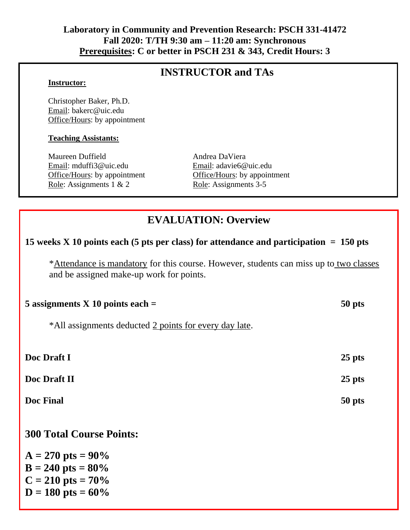## **Laboratory in Community and Prevention Research: PSCH 331-41472 Fall 2020: T/TH 9:30 am – 11:20 am: Synchronous Prerequisites: C or better in PSCH 231 & 343, Credit Hours: 3**

## **INSTRUCTOR and TAs**

#### **Instructor:**

Christopher Baker, Ph.D. Email: bakerc@uic.edu Office/Hours: by appointment

#### **Teaching Assistants:**

Maureen Duffield Andrea DaViera Email: mduffi3@uic.edu Email: adavie6@uic.edu Role: Assignments 1 & 2 Role: Assignments 3-5

Office/Hours: by appointment Office/Hours: by appointment

# **EVALUATION: Overview**

### **15 weeks X 10 points each (5 pts per class) for attendance and participation = 150 pts**

\*Attendance is mandatory for this course. However, students can miss up to two classes and be assigned make-up work for points.

| 5 assignments $X$ 10 points each =                     | 50 pts   |
|--------------------------------------------------------|----------|
| *All assignments deducted 2 points for every day late. |          |
| Doc Draft I                                            | $25$ pts |
| Doc Draft II                                           | $25$ pts |
| Doc Final                                              | 50 pts   |
| <b>300 Total Course Points:</b>                        |          |
| $A = 270$ pts = 90%                                    |          |
| $B = 240$ pts = $80\%$                                 |          |
| $C = 210$ pts = 70%<br>$D = 180$ pts = 60%             |          |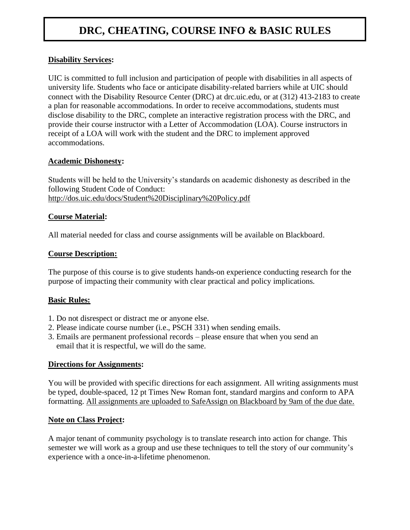# **DRC, CHEATING, COURSE INFO & BASIC RULES**

#### **Disability Services:**

UIC is committed to full inclusion and participation of people with disabilities in all aspects of university life. Students who face or anticipate disability-related barriers while at UIC should connect with the Disability Resource Center (DRC) at drc.uic.edu, or at (312) 413-2183 to create a plan for reasonable accommodations. In order to receive accommodations, students must disclose disability to the DRC, complete an interactive registration process with the DRC, and provide their course instructor with a Letter of Accommodation (LOA). Course instructors in receipt of a LOA will work with the student and the DRC to implement approved accommodations.

#### **Academic Dishonesty:**

Students will be held to the University's standards on academic dishonesty as described in the following Student Code of Conduct: http://dos.uic.edu/docs/Student%20Disciplinary%20Policy.pdf

#### **Course Material:**

All material needed for class and course assignments will be available on Blackboard.

#### **Course Description:**

The purpose of this course is to give students hands-on experience conducting research for the purpose of impacting their community with clear practical and policy implications.

#### **Basic Rules:**

- 1. Do not disrespect or distract me or anyone else.
- 2. Please indicate course number (i.e., PSCH 331) when sending emails.
- 3. Emails are permanent professional records please ensure that when you send an email that it is respectful, we will do the same.

#### **Directions for Assignments:**

You will be provided with specific directions for each assignment. All writing assignments must be typed, double-spaced, 12 pt Times New Roman font, standard margins and conform to APA formatting. All assignments are uploaded to SafeAssign on Blackboard by 9am of the due date.

#### **Note on Class Project:**

A major tenant of community psychology is to translate research into action for change. This semester we will work as a group and use these techniques to tell the story of our community's experience with a once-in-a-lifetime phenomenon.